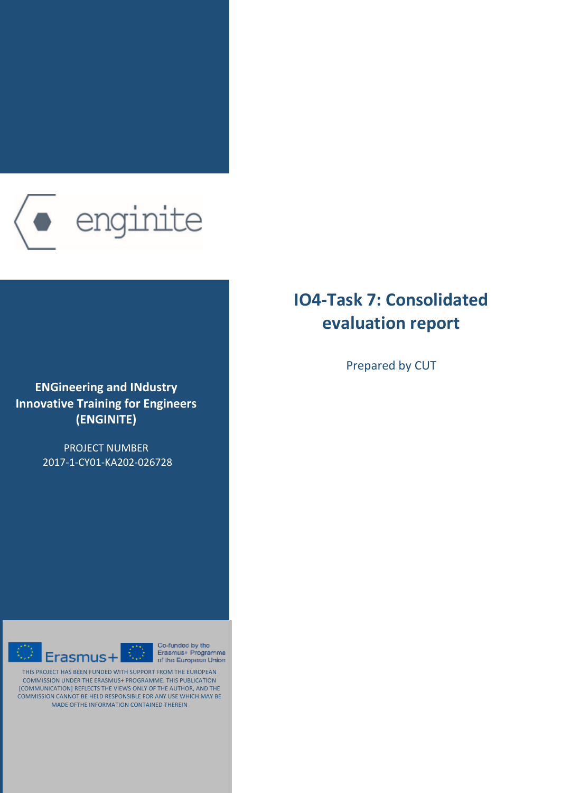

**ENGineering and IΝdustry Innovative Training for Engineers (ENGINITE)**

> PROJECT NUMBER 2017-1-CY01-KA202-026728



Co-funded by the  $\overline{\mathbb{O}}$ Erasmus+ Programme of the European Union

THIS PROJECT HAS BEEN FUNDED WITH SUPPORT FROM THE EUROPEAN COMMISSION UNDER THE ERASMUS+ PROGRAMME. THIS PUBLICATION [COMMUNICATION] REFLECTS THE VIEWS ONLY OF THE AUTHOR, AND THE COMMISSION CANNOT BE HELD RESPONSIBLE FOR ANY USE WHICH MAY BE MADE OFTHE INFORMATION CONTAINED THEREIN

# **IO4-Task 7: Consolidated evaluation report**

Prepared by CUT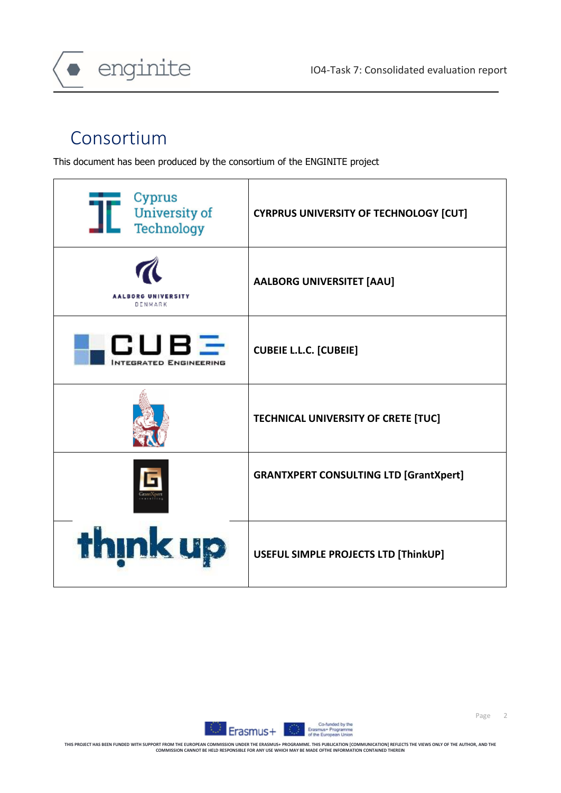

# Consortium

This document has been produced by the consortium of the ENGINITE project

| Cyprus<br><b>University of</b><br>Technology | <b>CYRPRUS UNIVERSITY OF TECHNOLOGY [CUT]</b> |
|----------------------------------------------|-----------------------------------------------|
| <b>AALBORG UNIVERSITY</b><br>DENMARK         | <b>AALBORG UNIVERSITET [AAU]</b>              |
| CUBE<br><b>NTEGRATED ENGINEERING</b>         | <b>CUBEIE L.L.C. [CUBEIE]</b>                 |
|                                              | <b>TECHNICAL UNIVERSITY OF CRETE [TUC]</b>    |
|                                              | <b>GRANTXPERT CONSULTING LTD [GrantXpert]</b> |
| think up                                     | USEFUL SIMPLE PROJECTS LTD [ThinkUP]          |

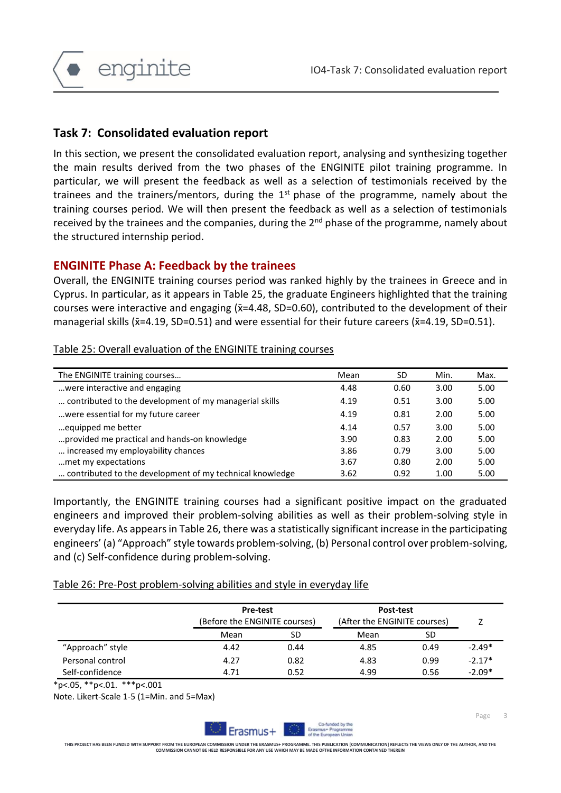

# **Task 7: Consolidated evaluation report**

In this section, we present the consolidated evaluation report, analysing and synthesizing together the main results derived from the two phases of the ENGINITE pilot training programme. In particular, we will present the feedback as well as a selection of testimonials received by the trainees and the trainers/mentors, during the  $1<sup>st</sup>$  phase of the programme, namely about the training courses period. We will then present the feedback as well as a selection of testimonials received by the trainees and the companies, during the 2<sup>nd</sup> phase of the programme, namely about the structured internship period.

## **ENGINITE Phase A: Feedback by the trainees**

Overall, the ENGINITE training courses period was ranked highly by the trainees in Greece and in Cyprus. In particular, as it appears in Table 25, the graduate Engineers highlighted that the training courses were interactive and engaging ( $\bar{x}$ =4.48, SD=0.60), contributed to the development of their managerial skills ( $\bar{x}$ =4.19, SD=0.51) and were essential for their future careers ( $\bar{x}$ =4.19, SD=0.51).

Table 25: Overall evaluation of the ENGINITE training courses

| The ENGINITE training courses                            | Mean | SD   | Min. | Max. |
|----------------------------------------------------------|------|------|------|------|
| were interactive and engaging                            | 4.48 | 0.60 | 3.00 | 5.00 |
| contributed to the development of my managerial skills   | 4.19 | 0.51 | 3.00 | 5.00 |
| were essential for my future career                      | 4.19 | 0.81 | 2.00 | 5.00 |
| equipped me better                                       | 4.14 | 0.57 | 3.00 | 5.00 |
| provided me practical and hands-on knowledge             | 3.90 | 0.83 | 2.00 | 5.00 |
| increased my employability chances                       | 3.86 | 0.79 | 3.00 | 5.00 |
| met my expectations.                                     | 3.67 | 0.80 | 2.00 | 5.00 |
| contributed to the development of my technical knowledge | 3.62 | 0.92 | 1.00 | 5.00 |

Importantly, the ENGINITE training courses had a significant positive impact on the graduated engineers and improved their problem-solving abilities as well as their problem-solving style in everyday life. As appears in Table 26, there was a statistically significant increase in the participating engineers' (a) "Approach" style towards problem-solving, (b) Personal control over problem-solving, and (c) Self-confidence during problem-solving.

#### Table 26: Pre-Post problem-solving abilities and style in everyday life

|                  |      | <b>Pre-test</b><br>(Before the ENGINITE courses) |      | Post-test<br>(After the ENGINITE courses) |          |  |
|------------------|------|--------------------------------------------------|------|-------------------------------------------|----------|--|
|                  | Mean | SD                                               | Mean | SD                                        |          |  |
| "Approach" style | 4.42 | 0.44                                             | 4.85 | 0.49                                      | $-2.49*$ |  |
| Personal control | 4.27 | 0.82                                             | 4.83 | 0.99                                      | $-2.17*$ |  |
| Self-confidence  | 4.71 | 0.52                                             | 4.99 | 0.56                                      | $-2.09*$ |  |

\*p<.05, \*\*p<.01. \*\*\*p<.001

Note. Likert-Scale 1-5 (1=Min. and 5=Max)

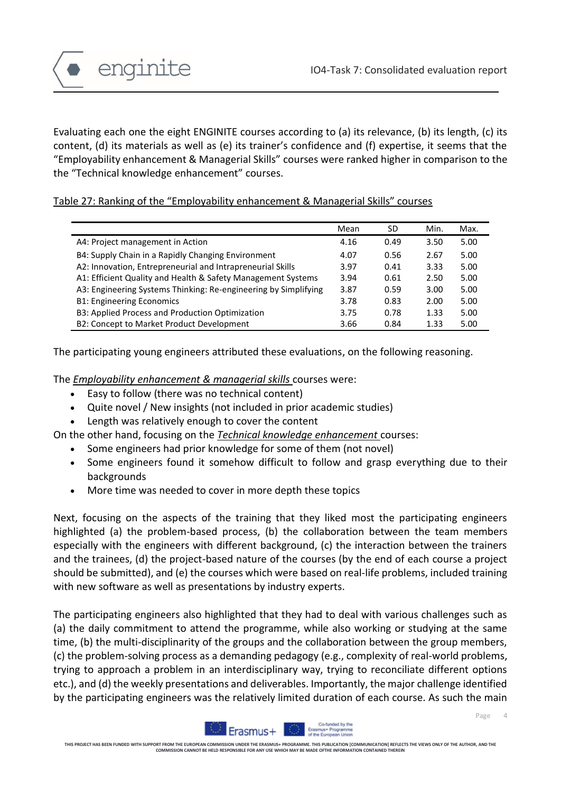Page

4



Evaluating each one the eight ENGINITE courses according to (a) its relevance, (b) its length, (c) its content, (d) its materials as well as (e) its trainer's confidence and (f) expertise, it seems that the "Employability enhancement & Managerial Skills" courses were ranked higher in comparison to the the "Technical knowledge enhancement" courses.

#### Table 27: Ranking of the "Employability enhancement & Managerial Skills" courses

|                                                                 | Mean | SD   | Min. | Max. |
|-----------------------------------------------------------------|------|------|------|------|
| A4: Project management in Action                                | 4.16 | 0.49 | 3.50 | 5.00 |
| B4: Supply Chain in a Rapidly Changing Environment              | 4.07 | 0.56 | 2.67 | 5.00 |
| A2: Innovation, Entrepreneurial and Intrapreneurial Skills      | 3.97 | 0.41 | 3.33 | 5.00 |
| A1: Efficient Quality and Health & Safety Management Systems    | 3.94 | 0.61 | 2.50 | 5.00 |
| A3: Engineering Systems Thinking: Re-engineering by Simplifying | 3.87 | 0.59 | 3.00 | 5.00 |
| <b>B1: Engineering Economics</b>                                | 3.78 | 0.83 | 2.00 | 5.00 |
| B3: Applied Process and Production Optimization                 | 3.75 | 0.78 | 1.33 | 5.00 |
| B2: Concept to Market Product Development                       | 3.66 | 0.84 | 1.33 | 5.00 |

The participating young engineers attributed these evaluations, on the following reasoning.

The *Employability enhancement & managerial skills* courses were:

- Easy to follow (there was no technical content)
- Quite novel / New insights (not included in prior academic studies)
- Length was relatively enough to cover the content
- On the other hand, focusing on the *Technical knowledge enhancement* courses:
	- Some engineers had prior knowledge for some of them (not novel)
	- Some engineers found it somehow difficult to follow and grasp everything due to their backgrounds
	- More time was needed to cover in more depth these topics

Next, focusing on the aspects of the training that they liked most the participating engineers highlighted (a) the problem-based process, (b) the collaboration between the team members especially with the engineers with different background, (c) the interaction between the trainers and the trainees, (d) the project-based nature of the courses (by the end of each course a project should be submitted), and (e) the courses which were based on real-life problems, included training with new software as well as presentations by industry experts.

The participating engineers also highlighted that they had to deal with various challenges such as (a) the daily commitment to attend the programme, while also working or studying at the same time, (b) the multi-disciplinarity of the groups and the collaboration between the group members, (c) the problem-solving process as a demanding pedagogy (e.g., complexity of real-world problems, trying to approach a problem in an interdisciplinary way, trying to reconciliate different options etc.), and (d) the weekly presentations and deliverables. Importantly, the major challenge identified by the participating engineers was the relatively limited duration of each course. As such the main

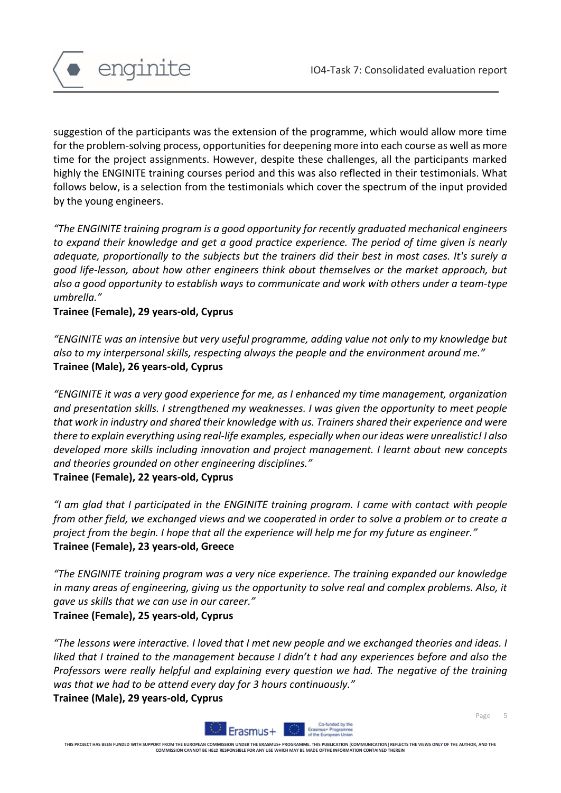

suggestion of the participants was the extension of the programme, which would allow more time for the problem-solving process, opportunities for deepening more into each course as well as more time for the project assignments. However, despite these challenges, all the participants marked highly the ENGINITE training courses period and this was also reflected in their testimonials. What follows below, is a selection from the testimonials which cover the spectrum of the input provided by the young engineers.

*"The ENGINITE training program is a good opportunity for recently graduated mechanical engineers to expand their knowledge and get a good practice experience. The period of time given is nearly adequate, proportionally to the subjects but the trainers did their best in most cases. It's surely a good life-lesson, about how other engineers think about themselves or the market approach, but also a good opportunity to establish ways to communicate and work with others under a team-type umbrella."*

#### **Trainee (Female), 29 years-old, Cyprus**

*"ENGINITE was an intensive but very useful programme, adding value not only to my knowledge but also to my interpersonal skills, respecting always the people and the environment around me."* **Trainee (Male), 26 years-old, Cyprus** 

*"ENGINITE it was a very good experience for me, as I enhanced my time management, organization and presentation skills. I strengthened my weaknesses. I was given the opportunity to meet people that work in industry and shared their knowledge with us. Trainers shared their experience and were there to explain everything using real-life examples, especially when our ideas were unrealistic! I also developed more skills including innovation and project management. I learnt about new concepts and theories grounded on other engineering disciplines."*

#### **Trainee (Female), 22 years-old, Cyprus**

*"I am glad that I participated in the ENGINITE training program. I came with contact with people from other field, we exchanged views and we cooperated in order to solve a problem or to create a project from the begin. I hope that all the experience will help me for my future as engineer."* **Trainee (Female), 23 years-old, Greece**

*"The ENGINITE training program was a very nice experience. The training expanded our knowledge in many areas of engineering, giving us the opportunity to solve real and complex problems. Also, it gave us skills that we can use in our career."*

#### **Trainee (Female), 25 years-old, Cyprus**

*"The lessons were interactive. I loved that I met new people and we exchanged theories and ideas. I liked that I trained to the management because I didn't t had any experiences before and also the Professors were really helpful and explaining every question we had. The negative of the training was that we had to be attend every day for 3 hours continuously."* **Trainee (Male), 29 years-old, Cyprus** 



Page 5

**THIS PROJECT HAS BEEN FUNDED WITH SUPPORT FROM THE EUROPEAN COMMISSION UNDER THE ERASMUS+ PROGRAMME. THIS PUBLICATION [COMMUNICATION] REFLECTS THE VIEWS ONLY OF THE AUTHOR, AND THE COMMISSION CANNOT BE HELD RESPONSIBLE FOR ANY USE WHICH MAY BE MADE OFTHE INFORMATION CONTAINED THEREIN**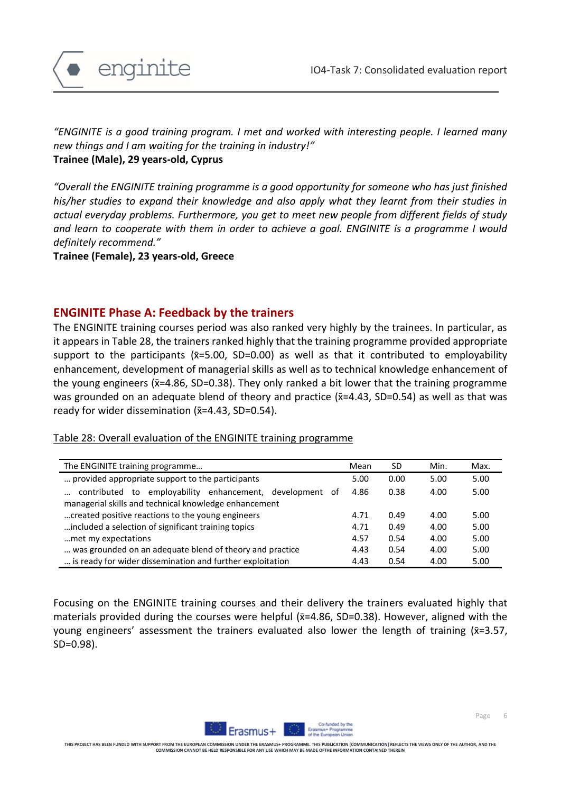

*"ENGINITE is a good training program. I met and worked with interesting people. I learned many new things and I am waiting for the training in industry!"* **Trainee (Male), 29 years-old, Cyprus** 

*"Overall the ENGINITE training programme is a good opportunity for someone who has just finished his/her studies to expand their knowledge and also apply what they learnt from their studies in actual everyday problems. Furthermore, you get to meet new people from different fields of study and learn to cooperate with them in order to achieve a goal. ENGINITE is a programme I would definitely recommend."*

**Trainee (Female), 23 years-old, Greece** 

## **ENGINITE Phase A: Feedback by the trainers**

The ENGINITE training courses period was also ranked very highly by the trainees. In particular, as it appears in Table 28, the trainers ranked highly that the training programme provided appropriate support to the participants ( $\bar{x}$ =5.00, SD=0.00) as well as that it contributed to employability enhancement, development of managerial skills as well as to technical knowledge enhancement of the young engineers ( $\overline{x}$ =4.86, SD=0.38). They only ranked a bit lower that the training programme was grounded on an adequate blend of theory and practice ( $\bar{x}$ =4.43, SD=0.54) as well as that was ready for wider dissemination  $(x=4.43, SD=0.54)$ .

Table 28: Overall evaluation of the ENGINITE training programme

| The ENGINITE training programme                           | Mean | SD   | Min. | Max. |
|-----------------------------------------------------------|------|------|------|------|
| provided appropriate support to the participants          | 5.00 | 0.00 | 5.00 | 5.00 |
| contributed to employability enhancement, development of  | 4.86 | 0.38 | 4.00 | 5.00 |
| managerial skills and technical knowledge enhancement     |      |      |      |      |
| created positive reactions to the young engineers         | 4.71 | 0.49 | 4.00 | 5.00 |
| included a selection of significant training topics       |      | 0.49 | 4.00 | 5.00 |
| met my expectations                                       |      | 0.54 | 4.00 | 5.00 |
| was grounded on an adequate blend of theory and practice  | 4.43 | 0.54 | 4.00 | 5.00 |
| is ready for wider dissemination and further exploitation | 4.43 | 0.54 | 4.00 | 5.00 |

Focusing on the ENGINITE training courses and their delivery the trainers evaluated highly that materials provided during the courses were helpful ( $\bar{x}$ =4.86, SD=0.38). However, aligned with the young engineers' assessment the trainers evaluated also lower the length of training  $(x=3.57)$ , SD=0.98).

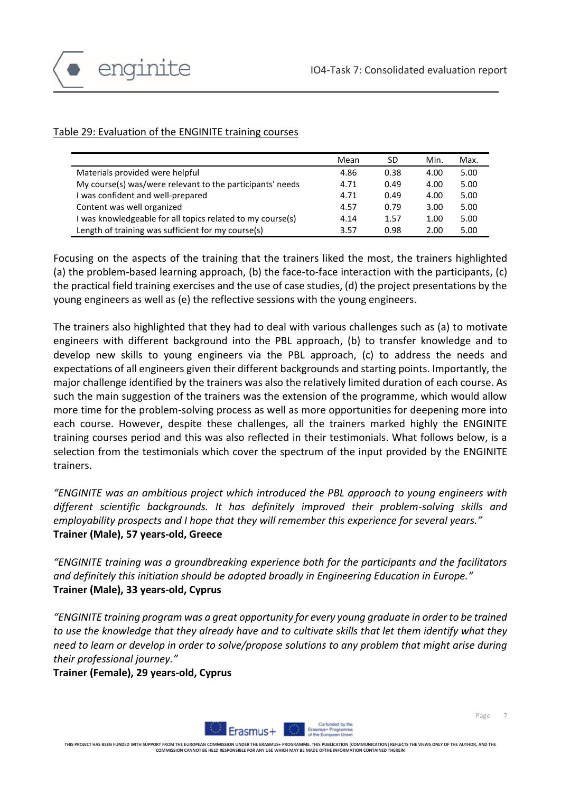

## Table 29: Evaluation of the ENGINITE training courses

|                                                            | Mean | SD   | Min. | Max. |
|------------------------------------------------------------|------|------|------|------|
| Materials provided were helpful                            | 4.86 | 0.38 | 4.00 | 5.00 |
| My course(s) was/were relevant to the participants' needs  | 4.71 | 0.49 | 4.00 | 5.00 |
| I was confident and well-prepared                          | 4.71 | 0.49 | 4.00 | 5.00 |
| Content was well organized                                 | 4.57 | 0.79 | 3.00 | 5.00 |
| I was knowledgeable for all topics related to my course(s) | 4.14 | 1.57 | 1.00 | 5.00 |
| Length of training was sufficient for my course(s)         | 3.57 | 0.98 | 2.00 | 5.00 |

Focusing on the aspects of the training that the trainers liked the most, the trainers highlighted (a) the problem-based learning approach, (b) the face-to-face interaction with the participants, (c) the practical field training exercises and the use of case studies, (d) the project presentations by the young engineers as well as (e) the reflective sessions with the young engineers.

The trainers also highlighted that they had to deal with various challenges such as (a) to motivate engineers with different background into the PBL approach, (b) to transfer knowledge and to develop new skills to young engineers via the PBL approach, (c) to address the needs and expectations of all engineers given their different backgrounds and starting points. Importantly, the major challenge identified by the trainers was also the relatively limited duration of each course. As such the main suggestion of the trainers was the extension of the programme, which would allow more time for the problem-solving process as well as more opportunities for deepening more into each course. However, despite these challenges, all the trainers marked highly the ENGINITE training courses period and this was also reflected in their testimonials. What follows below, is a selection from the testimonials which cover the spectrum of the input provided by the ENGINITE trainers.

*"ENGINITE was an ambitious project which introduced the PBL approach to young engineers with different scientific backgrounds. It has definitely improved their problem-solving skills and employability prospects and I hope that they will remember this experience for several years."* **Trainer (Male), 57 years-old, Greece** 

*"ENGINITE training was a groundbreaking experience both for the participants and the facilitators and definitely this initiation should be adopted broadly in Engineering Education in Europe."* **Trainer (Male), 33 years-old, Cyprus** 

*"ENGINITE training program was a great opportunity for every young graduate in order to be trained to use the knowledge that they already have and to cultivate skills that let them identify what they need to learn or develop in order to solve/propose solutions to any problem that might arise during their professional journey."*

**Trainer (Female), 29 years-old, Cyprus** 



Page 7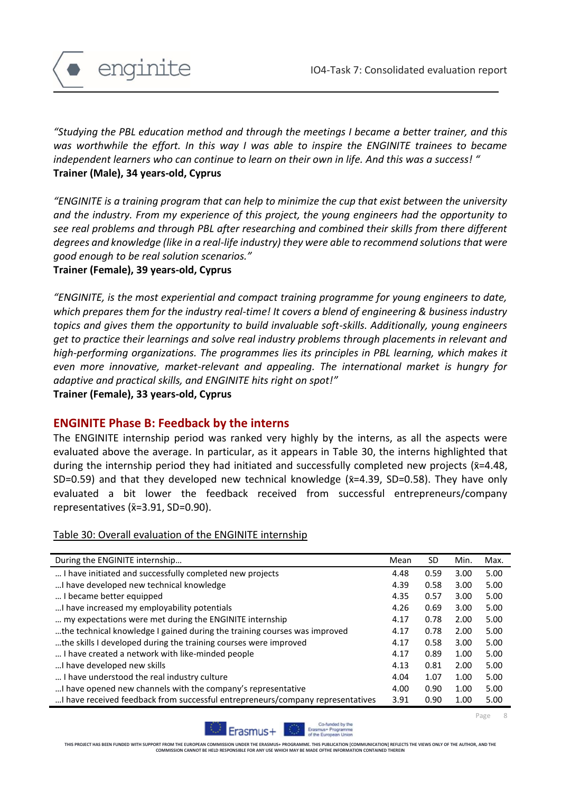

*"Studying the PBL education method and through the meetings I became a better trainer, and this was worthwhile the effort. In this way I was able to inspire the ENGINITE trainees to became independent learners who can continue to learn on their own in life. And this was a success! "* **Trainer (Male), 34 years-old, Cyprus** 

*"ENGINITE is a training program that can help to minimize the cup that exist between the university and the industry. From my experience of this project, the young engineers had the opportunity to see real problems and through PBL after researching and combined their skills from there different degrees and knowledge (like in a real-life industry) they were able to recommend solutions that were good enough to be real solution scenarios."*

**Trainer (Female), 39 years-old, Cyprus** 

*"ENGINITE, is the most experiential and compact training programme for young engineers to date, which prepares them for the industry real-time! It covers a blend of engineering & business industry topics and gives them the opportunity to build invaluable soft-skills. Additionally, young engineers get to practice their learnings and solve real industry problems through placements in relevant and high-performing organizations. The programmes lies its principles in PBL learning, which makes it even more innovative, market-relevant and appealing. The international market is hungry for adaptive and practical skills, and ENGINITE hits right on spot!"*

**Trainer (Female), 33 years-old, Cyprus** 

## **ENGINITE Phase B: Feedback by the interns**

The ENGINITE internship period was ranked very highly by the interns, as all the aspects were evaluated above the average. In particular, as it appears in Table 30, the interns highlighted that during the internship period they had initiated and successfully completed new projects ( $\bar{x}$ =4.48, SD=0.59) and that they developed new technical knowledge ( $\bar{x}$ =4.39, SD=0.58). They have only evaluated a bit lower the feedback received from successful entrepreneurs/company representatives (x̄=3.91, SD=0.90).

Table 30: Overall evaluation of the ENGINITE internship

| During the ENGINITE internship<br>Mean<br>SD.                                                  | Min. | Max. |
|------------------------------------------------------------------------------------------------|------|------|
| I have initiated and successfully completed new projects<br>0.59<br>4.48                       | 3.00 | 5.00 |
| I have developed new technical knowledge<br>0.58<br>4.39                                       | 3.00 | 5.00 |
| I became better equipped<br>4.35<br>0.57                                                       | 3.00 | 5.00 |
| I have increased my employability potentials<br>4.26<br>0.69                                   | 3.00 | 5.00 |
| my expectations were met during the ENGINITE internship<br>0.78<br>4.17                        | 2.00 | 5.00 |
| the technical knowledge I gained during the training courses was improved<br>0.78<br>4.17      | 2.00 | 5.00 |
| the skills I developed during the training courses were improved<br>0.58<br>4.17               | 3.00 | 5.00 |
| I have created a network with like-minded people<br>0.89<br>4.17                               | 1.00 | 5.00 |
| I have developed new skills<br>0.81<br>4.13                                                    | 2.00 | 5.00 |
| I have understood the real industry culture<br>1.07<br>4.04                                    | 1.00 | 5.00 |
| I have opened new channels with the company's representative<br>0.90<br>4.00                   | 1.00 | 5.00 |
| I have received feedback from successful entrepreneurs/company representatives<br>3.91<br>0.90 | 1.00 | 5.00 |



Page 8

**THIS PROJECT HAS BEEN FUNDED WITH SUPPORT FROM THE EUROPEAN COMMISSION UNDER THE ERASMUS+ PROGRAMME. THIS PUBLICATION [COMMUNICATION] REFLECTS THE VIEWS ONLY OF THE AUTHOR, AND THE COMMISSION CANNOT BE HELD RESPONSIBLE FOR ANY USE WHICH MAY BE MADE OFTHE INFORMATION CONTAINED THEREIN**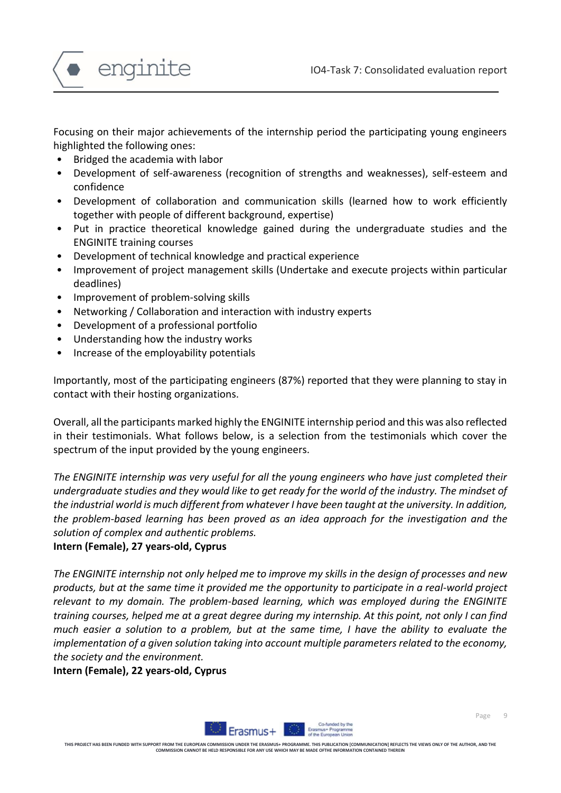

Focusing on their major achievements of the internship period the participating young engineers highlighted the following ones:

- Bridged the academia with labor
- Development of self-awareness (recognition of strengths and weaknesses), self-esteem and confidence
- Development of collaboration and communication skills (learned how to work efficiently together with people of different background, expertise)
- Put in practice theoretical knowledge gained during the undergraduate studies and the ENGINITE training courses
- Development of technical knowledge and practical experience
- Improvement of project management skills (Undertake and execute projects within particular deadlines)
- Improvement of problem-solving skills
- Networking / Collaboration and interaction with industry experts
- Development of a professional portfolio
- Understanding how the industry works
- Increase of the employability potentials

Importantly, most of the participating engineers (87%) reported that they were planning to stay in contact with their hosting organizations.

Overall, all the participants marked highly the ENGINITE internship period and this was also reflected in their testimonials. What follows below, is a selection from the testimonials which cover the spectrum of the input provided by the young engineers.

*The ENGINITE internship was very useful for all the young engineers who have just completed their undergraduate studies and they would like to get ready for the world of the industry. The mindset of the industrial world is much different from whatever I have been taught at the university. In addition, the problem-based learning has been proved as an idea approach for the investigation and the solution of complex and authentic problems.* 

## **Intern (Female), 27 years-old, Cyprus**

*The ENGINITE internship not only helped me to improve my skills in the design of processes and new products, but at the same time it provided me the opportunity to participate in a real-world project relevant to my domain. The problem-based learning, which was employed during the ENGINITE training courses, helped me at a great degree during my internship. At this point, not only I can find much easier a solution to a problem, but at the same time, I have the ability to evaluate the implementation of a given solution taking into account multiple parameters related to the economy, the society and the environment.* 

**Intern (Female), 22 years-old, Cyprus** 

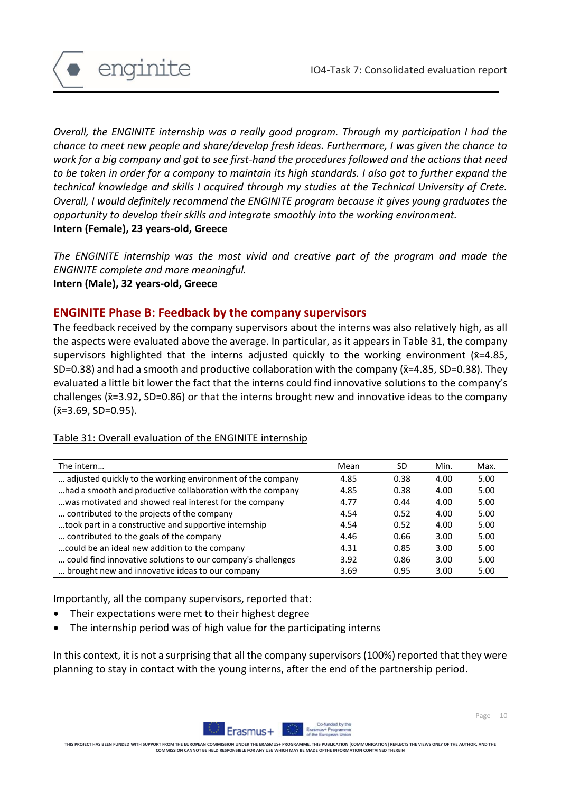

*Overall, the ENGINITE internship was a really good program. Through my participation I had the chance to meet new people and share/develop fresh ideas. Furthermore, I was given the chance to work for a big company and got to see first-hand the procedures followed and the actions that need to be taken in order for a company to maintain its high standards. I also got to further expand the technical knowledge and skills I acquired through my studies at the Technical University of Crete. Overall, I would definitely recommend the ENGINITE program because it gives young graduates the opportunity to develop their skills and integrate smoothly into the working environment.* **Intern (Female), 23 years-old, Greece** 

*The ENGINITE internship was the most vivid and creative part of the program and made the ENGINITE complete and more meaningful.* **Intern (Male), 32 years-old, Greece** 

# **ENGINITE Phase B: Feedback by the company supervisors**

The feedback received by the company supervisors about the interns was also relatively high, as all the aspects were evaluated above the average. In particular, as it appears in Table 31, the company supervisors highlighted that the interns adjusted quickly to the working environment ( $\bar{x}$ =4.85, SD=0.38) and had a smooth and productive collaboration with the company  $(\bar{x}=4.85, SD=0.38)$ . They evaluated a little bit lower the fact that the interns could find innovative solutions to the company's challenges ( $\bar{x}$ =3.92, SD=0.86) or that the interns brought new and innovative ideas to the company  $(\bar{x}=3.69, SD=0.95).$ 

# Table 31: Overall evaluation of the ENGINITE internship

| The intern                                                  | Mean | SD   | Min. | Max. |
|-------------------------------------------------------------|------|------|------|------|
| adjusted quickly to the working environment of the company  | 4.85 | 0.38 | 4.00 | 5.00 |
| had a smooth and productive collaboration with the company  | 4.85 | 0.38 | 4.00 | 5.00 |
| was motivated and showed real interest for the company      | 4.77 | 0.44 | 4.00 | 5.00 |
| contributed to the projects of the company                  | 4.54 | 0.52 | 4.00 | 5.00 |
| took part in a constructive and supportive internship       | 4.54 | 0.52 | 4.00 | 5.00 |
| contributed to the goals of the company                     | 4.46 | 0.66 | 3.00 | 5.00 |
| could be an ideal new addition to the company               | 4.31 | 0.85 | 3.00 | 5.00 |
| could find innovative solutions to our company's challenges | 3.92 | 0.86 | 3.00 | 5.00 |
| brought new and innovative ideas to our company             | 3.69 | 0.95 | 3.00 | 5.00 |

Importantly, all the company supervisors, reported that:

- Their expectations were met to their highest degree
- The internship period was of high value for the participating interns

In this context, it is not a surprising that all the company supervisors (100%) reported that they were planning to stay in contact with the young interns, after the end of the partnership period.



THIS PROJECT HAS BEEN FUNDED WITH SUPPORT FROM THE EUROPEAN COMMISSION UNDER THE ERASMUS+ PROGRAMME. THIS PUBLICATION [COMMUNICATION] REFLECTS THE VIEWS ONLY OF THE AUTHOR, AND THE<br>COMMISSION CANNOT BE HILD RESPONSIEL FOR